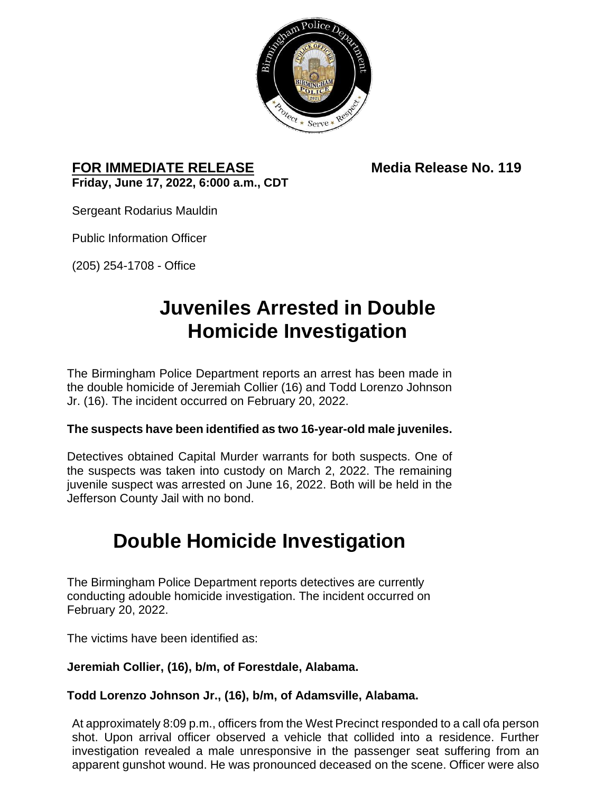

## **FOR IMMEDIATE RELEASE Media Release No. 119 Friday, June 17, 2022, 6:000 a.m., CDT**

Sergeant Rodarius Mauldin

Public Information Officer

(205) 254-1708 - Office

## **Juveniles Arrested in Double Homicide Investigation**

The Birmingham Police Department reports an arrest has been made in the double homicide of Jeremiah Collier (16) and Todd Lorenzo Johnson Jr. (16). The incident occurred on February 20, 2022.

### **The suspects have been identified as two 16-year-old male juveniles.**

Detectives obtained Capital Murder warrants for both suspects. One of the suspects was taken into custody on March 2, 2022. The remaining juvenile suspect was arrested on June 16, 2022. Both will be held in the Jefferson County Jail with no bond.

# **Double Homicide Investigation**

The Birmingham Police Department reports detectives are currently conducting adouble homicide investigation. The incident occurred on February 20, 2022.

The victims have been identified as:

## **Jeremiah Collier, (16), b/m, of Forestdale, Alabama.**

## **Todd Lorenzo Johnson Jr., (16), b/m, of Adamsville, Alabama.**

At approximately 8:09 p.m., officers from the West Precinct responded to a call ofa person shot. Upon arrival officer observed a vehicle that collided into a residence. Further investigation revealed a male unresponsive in the passenger seat suffering from an apparent gunshot wound. He was pronounced deceased on the scene. Officer were also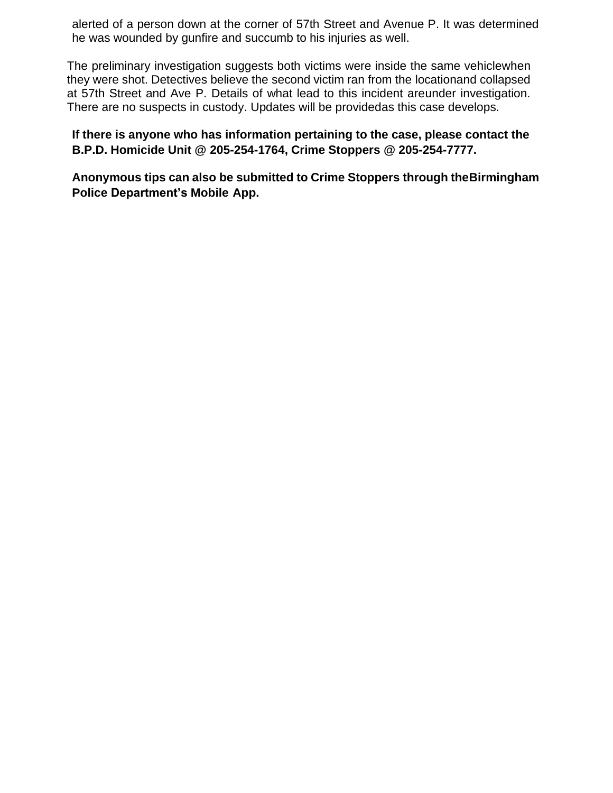alerted of a person down at the corner of 57th Street and Avenue P. It was determined he was wounded by gunfire and succumb to his injuries as well.

The preliminary investigation suggests both victims were inside the same vehiclewhen they were shot. Detectives believe the second victim ran from the locationand collapsed at 57th Street and Ave P. Details of what lead to this incident areunder investigation. There are no suspects in custody. Updates will be providedas this case develops.

**If there is anyone who has information pertaining to the case, please contact the B.P.D. Homicide Unit @ 205-254-1764, Crime Stoppers @ 205-254-7777.**

**Anonymous tips can also be submitted to Crime Stoppers through theBirmingham Police Department's Mobile App.**